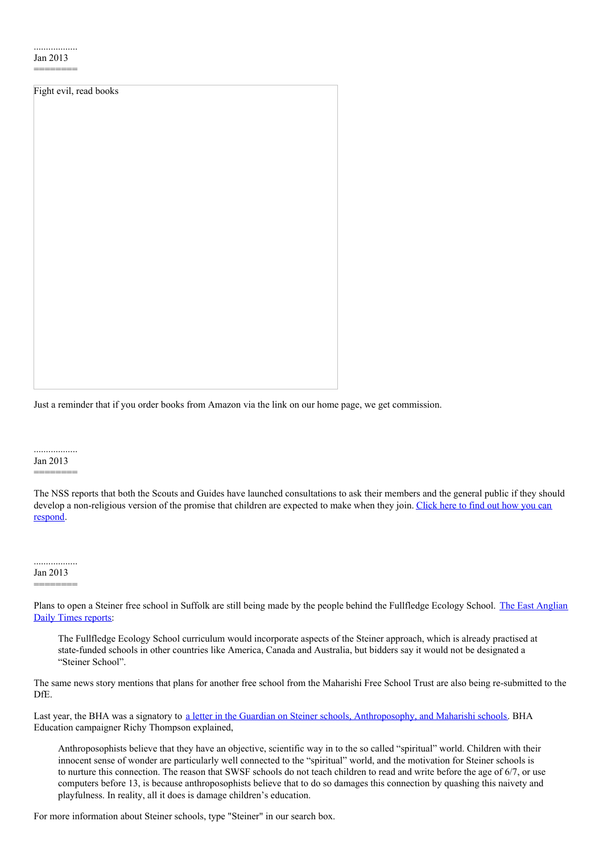========

| Fight evil, read books |  |  |  |  |
|------------------------|--|--|--|--|
|                        |  |  |  |  |
|                        |  |  |  |  |
|                        |  |  |  |  |
|                        |  |  |  |  |
|                        |  |  |  |  |
|                        |  |  |  |  |
|                        |  |  |  |  |
|                        |  |  |  |  |
|                        |  |  |  |  |
|                        |  |  |  |  |
|                        |  |  |  |  |
|                        |  |  |  |  |
|                        |  |  |  |  |
|                        |  |  |  |  |
|                        |  |  |  |  |
|                        |  |  |  |  |
|                        |  |  |  |  |
|                        |  |  |  |  |
|                        |  |  |  |  |
|                        |  |  |  |  |
|                        |  |  |  |  |
|                        |  |  |  |  |
|                        |  |  |  |  |
|                        |  |  |  |  |

Just a reminder that if you order books from Amazon via the link on our home page, we get commission.

#### .................. Jan 2013

# ========

The NSS reports that both the Scouts and Guides have launched consultations to ask their members and the general public if they should develop a [non-religious](http://www.secularism.org.uk/scouts-and-guides--consultation.html) version of the promise that children are expected to make when they join. Click here to find out how you can respond.

## ..................

### Jan 2013 ========

Plans to open a Steiner free school in Suffolk are still being made by the people behind the [Fullfledge](http://www.eadt.co.uk/news/suffolk_next_step_for_free_school_bid_proposers_1_1757610) Ecology School. The East Anglian Daily Times reports:

The Fullfledge Ecology School curriculum would incorporate aspects of the Steiner approach, which is already practised at state-funded schools in other countries like America, Canada and Australia, but bidders say it would not be designated a "Steiner School".

The same news story mentions that plans for another free school from the Maharishi Free School Trust are also being re-submitted to the DfE.

Last year, the BHA was a signatory to a letter in the Guardian on Steiner schools, [Anthroposophy,](http://humanism.org.uk/2012/05/26/news-244-11/) and Maharishi schools. BHA Education campaigner Richy Thompson explained,

Anthroposophists believe that they have an objective, scientific way in to the so called "spiritual" world. Children with their innocent sense of wonder are particularly well connected to the "spiritual" world, and the motivation for Steiner schools is to nurture this connection. The reason that SWSF schools do not teach children to read and write before the age of 6/7, or use computers before 13, is because anthroposophists believe that to do so damages this connection by quashing this naivety and playfulness. In reality, all it does is damage children's education.

For more information about Steiner schools, type "Steiner" in our search box.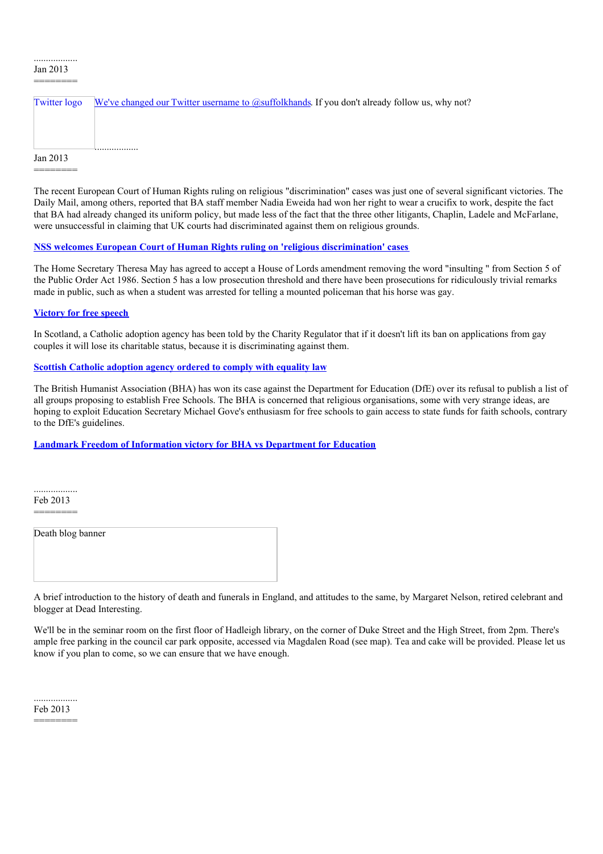#### .................. Jan 2013 ========

========

| Twitter logo | We've changed our Twitter username to @suffolkhands. If you don't already follow us, why not? |
|--------------|-----------------------------------------------------------------------------------------------|
|              |                                                                                               |
|              |                                                                                               |
| Jan 2013     |                                                                                               |

The recent European Court of Human Rights ruling on religious "discrimination" cases was just one of several significant victories. The Daily Mail, among others, reported that BA staff member Nadia Eweida had won her right to wear a crucifix to work, despite the fact that BA had already changed its uniform policy, but made less of the fact that the three other litigants, Chaplin, Ladele and McFarlane, were unsuccessful in claiming that UK courts had discriminated against them on religious grounds.

## **NSS welcomes European Court of Human Rights ruling on 'religious [discrimination'](http://www.secularism.org.uk/news/2013/01/nss-responds-to-the-european-court-of-human-rights-rulings-on-religious-discrimination--cases) cases**

The Home Secretary Theresa May has agreed to accept a House of Lords amendment removing the word "insulting " from Section 5 of the Public Order Act 1986. Section 5 has a low prosecution threshold and there have been prosecutions for ridiculously trivial remarks made in public, such as when a student was arrested for telling a mounted policeman that his horse was gay.

## **[Victory](http://www.secularism.org.uk/news/2013/01/victory-for-free-speech-as-government-accepts-reform-of-section-5) for free speech**

In Scotland, a Catholic adoption agency has been told by the Charity Regulator that if it doesn't lift its ban on applications from gay couples it will lose its charitable status, because it is discriminating against them.

## **Scottish Catholic [adoption](http://www.secularism.org.uk/news/2013/01/scottish-catholic-adoption-agency-ordered-to-comply-with-equality-law) agency ordered to comply with equality law**

The British Humanist Association (BHA) has won its case against the Department for Education (DfE) over its refusal to publish a list of all groups proposing to establish Free Schools. The BHA is concerned that religious organisations, some with very strange ideas, are hoping to exploit Education Secretary Michael Gove's enthusiasm for free schools to gain access to state funds for faith schools, contrary to the DfE's guidelines.

## **Landmark Freedom of [Information](http://humanism.org.uk/2013/01/15/landmark-freedom-of-information-victory-for-bha-vs-department-for-education/) victory for BHA vs Department for Education**

.................. Feb 2013 ========

Death blog banner

A brief introduction to the history of death and funerals in England, and attitudes to the same, by Margaret Nelson, retired celebrant and blogger at Dead Interesting.

We'll be in the seminar room on the first floor of Hadleigh library, on the corner of Duke Street and the High Street, from 2pm. There's ample free parking in the council car park opposite, accessed via Magdalen Road (see map). Tea and cake will be provided. Please let us know if you plan to come, so we can ensure that we have enough.

.................. Feb 2013

========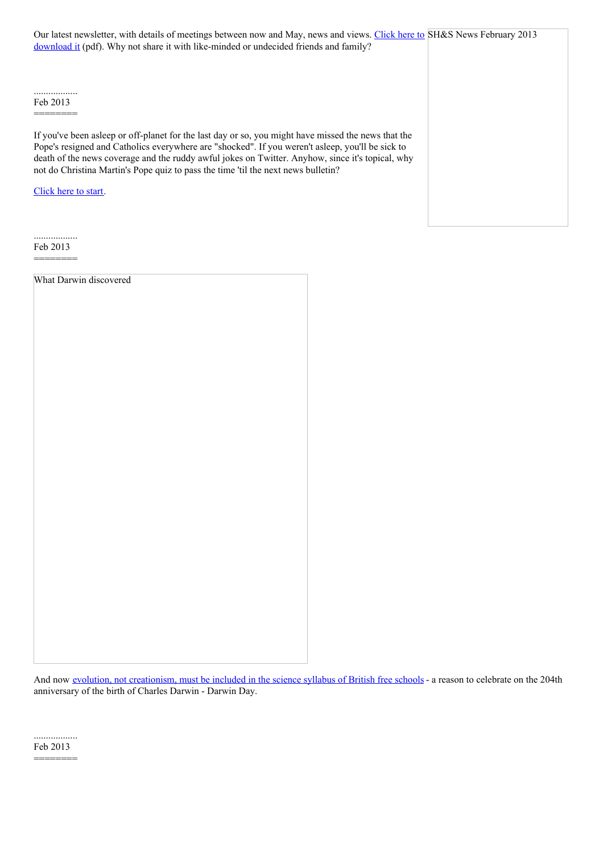Our latest newsletter, with details of meetings between now and May, news and views. Click here to SH&S News February 2013 download it (pdf). Why not share it with [like-minded](http://www.suffolkhands.org.uk/files/1/SH&S%20News%20Feb%202013.pdf) or undecided friends and family?

.................. Feb 2013

========

If you've been asleep or off-planet for the last day or so, you might have missed the news that the Pope's resigned and Catholics everywhere are "shocked". If you weren't asleep, you'll be sick to death of the news coverage and the ruddy awful jokes on Twitter. Anyhow, since it's topical, why not do Christina Martin's Pope quiz to pass the time 'til the next news bulletin?

[Click](http://newhumanist.org.uk/2081/which-pope-am-i) here to start.

.................. Feb 2013 ========

What Darwin discovered

And now evolution, not [creationism,](http://humanism.org.uk/2012/11/30/news-1152/) must be included in the science syllabus of British free schools - a reason to celebrate on the 204th anniversary of the birth of Charles Darwin - Darwin Day.

.................. Feb 2013

========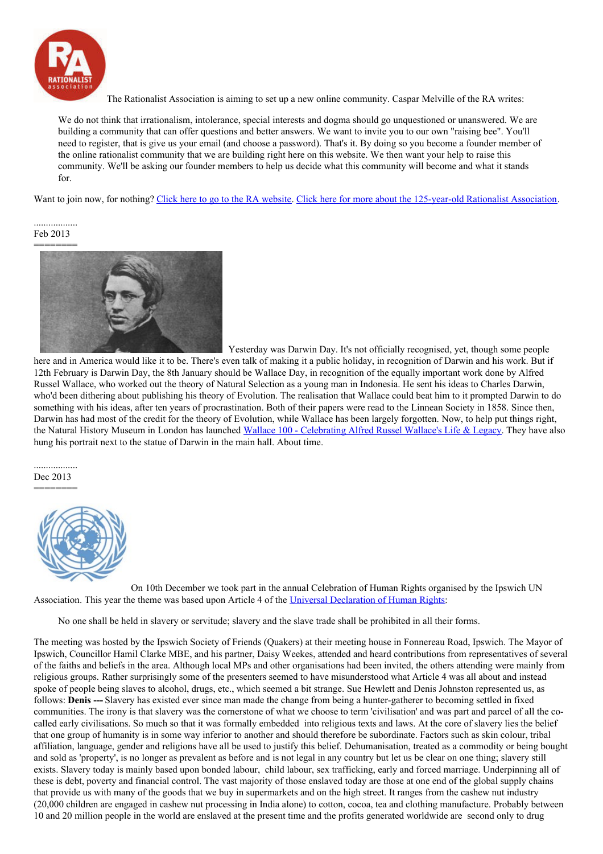

The Rationalist Association is aiming to set up a new online community. Caspar Melville of the RA writes:

We do not think that irrationalism, intolerance, special interests and dogma should go unquestioned or unanswered. We are building a community that can offer questions and better answers. We want to invite you to our own "raising bee". You'll need to register, that is give us your email (and choose a password). That's it. By doing so you become a founder member of the online rationalist community that we are building right here on this website. We then want your help to raise this community. We'll be asking our founder members to help us decide what this community will become and what it stands for.

Want to join now, for nothing? Click here to go to the RA [website](https://rationalist.org.uk/foundermembership/). Click here for more about the [125-year-old](https://rationalist.org.uk/) Rationalist Association.

#### .................. Feb 2013



Yesterday was Darwin Day. It's not officially recognised, yet, though some people here and in America would like it to be. There's even talk of making it a public holiday, in recognition of Darwin and his work. But if 12th February is Darwin Day, the 8th January should be Wallace Day, in recognition of the equally important work done by Alfred Russel Wallace, who worked out the theory of Natural Selection as a young man in Indonesia. He sent his ideas to Charles Darwin, who'd been dithering about publishing his theory of Evolution. The realisation that Wallace could beat him to it prompted Darwin to do something with his ideas, after ten years of procrastination. Both of their papers were read to the Linnean Society in 1858. Since then, Darwin has had most of the credit for the theory of Evolution, while Wallace has been largely forgotten. Now, to help put things right, the Natural History Museum in London has launched Wallace 100 - [Celebrating](http://www.nhm.ac.uk/nature-online/science-of-natural-history/wallace/) Alfred Russel Wallace's Life & Legacy. They have also hung his portrait next to the statue of Darwin in the main hall. About time.

.................. Dec 2013 ========



On 10th December we took part in the annual Celebration of Human Rights organised by the Ipswich UN Association. This year the theme was based upon Article 4 of the Universal [Declaration](http://www.un.org/en/documents/udhr/index.shtml#a4) of Human Rights:

No one shall be held in slavery or servitude; slavery and the slave trade shall be prohibited in all their forms.

The meeting was hosted by the Ipswich Society of Friends (Quakers) at their meeting house in Fonnereau Road, Ipswich. The Mayor of Ipswich, Councillor Hamil Clarke MBE, and his partner, Daisy Weekes, attended and heard contributions from representatives of several of the faiths and beliefs in the area. Although local MPs and other organisations had been invited, the others attending were mainly from religious groups. Rather surprisingly some of the presenters seemed to have misunderstood what Article 4 was all about and instead spoke of people being slaves to alcohol, drugs, etc., which seemed a bit strange. Sue Hewlett and Denis Johnston represented us, as follows: **Denis ---** Slavery has existed ever since man made the change from being a hunter-gatherer to becoming settled in fixed communities. The irony is that slavery was the cornerstone of what we choose to term 'civilisation' and was part and parcel of all the cocalled early civilisations. So much so that it was formally embedded into religious texts and laws. At the core of slavery lies the belief that one group of humanity is in some way inferior to another and should therefore be subordinate. Factors such as skin colour, tribal affiliation, language, gender and religions have all be used to justify this belief. Dehumanisation, treated as a commodity or being bought and sold as 'property', is no longer as prevalent as before and is not legal in any country but let us be clear on one thing; slavery still exists. Slavery today is mainly based upon bonded labour, child labour, sex trafficking, early and forced marriage. Underpinning all of these is debt, poverty and financial control. The vast majority of those enslaved today are those at one end of the global supply chains that provide us with many of the goods that we buy in supermarkets and on the high street. It ranges from the cashew nut industry (20,000 children are engaged in cashew nut processing in India alone) to cotton, cocoa, tea and clothing manufacture. Probably between 10 and 20 million people in the world are enslaved at the present time and the profits generated worldwide are second only to drug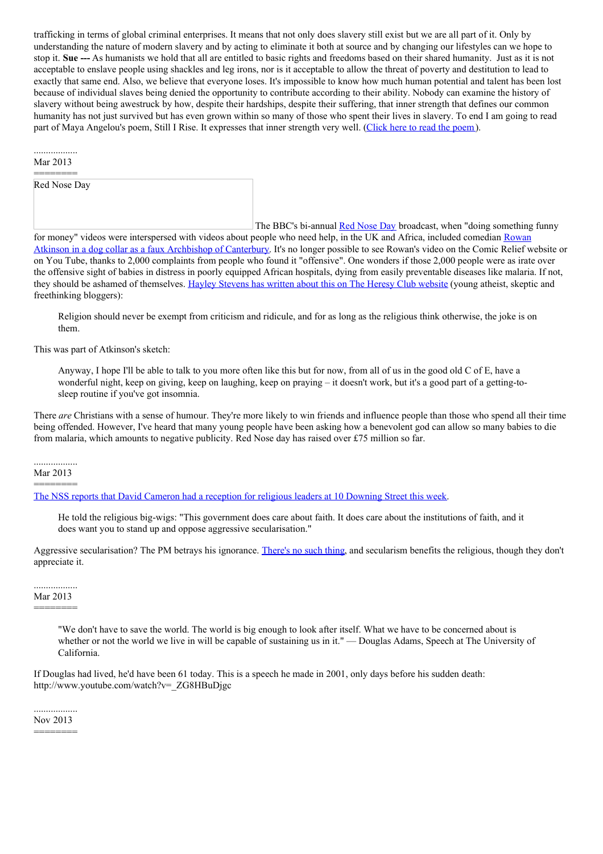trafficking in terms of global criminal enterprises. It means that not only does slavery still exist but we are all part of it. Only by understanding the nature of modern slavery and by acting to eliminate it both at source and by changing our lifestyles can we hope to stop it. **Sue ---** As humanists we hold that all are entitled to basic rights and freedoms based on their shared humanity. Just as it is not acceptable to enslave people using shackles and leg irons, nor is it acceptable to allow the threat of poverty and destitution to lead to exactly that same end. Also, we believe that everyone loses. It's impossible to know how much human potential and talent has been lost because of individual slaves being denied the opportunity to contribute according to their ability. Nobody can examine the history of slavery without being awestruck by how, despite their hardships, despite their suffering, that inner strength that defines our common humanity has not just survived but has even grown within so many of those who spent their lives in slavery. To end I am going to read part of Maya Angelou's [poem](http://www.poemhunter.com/poem/still-i-rise/), Still I Rise. It expresses that inner strength very well. (Click here to read the poem).

#### .................. Mar 2013

========

Red Nose Day

The BBC's bi-annual Red [Nose](http://www.rednoseday.com/) Day broadcast, when "doing something funny for money" videos were [interspersed](http://www.radiotimes.com/news/2013-03-18/rowan-atkinsons-archbishop-of-canterbury-comic-relief-routine-receives-more-than-2000-complaints) with videos about people who need help, in the UK and Africa, included comedian Rowan Atkinson in a dog collar as a faux Archbishop of Canterbury. It's no longer possible to see Rowan's video on the Comic Relief website or on You Tube, thanks to 2,000 complaints from people who found it "offensive". One wonders if those 2,000 people were as irate over the offensive sight of babies in distress in poorly equipped African hospitals, dying from easily preventable diseases like malaria. If not, they should be ashamed of themselves. Hayley [Stevens](http://heresyclub.com/2013/03/the-joke-is-on-you-offended-christians/) has written about this on The Heresy Club website (young atheist, skeptic and freethinking bloggers):

Religion should never be exempt from criticism and ridicule, and for as long as the religious think otherwise, the joke is on them.

This was part of Atkinson's sketch:

Anyway, I hope I'll be able to talk to you more often like this but for now, from all of us in the good old C of E, have a wonderful night, keep on giving, keep on laughing, keep on praying – it doesn't work, but it's a good part of a getting-tosleep routine if you've got insomnia.

There *are* Christians with a sense of humour. They're more likely to win friends and influence people than those who spend all their time being offended. However, I've heard that many young people have been asking how a benevolent god can allow so many babies to die from malaria, which amounts to negative publicity. Red Nose day has raised over £75 million so far.

.................. Mar 2013 ========

The NSS reports that David Cameron had a reception for religious leaders at 10 [Downing](http://www.secularism.org.uk/news/2013/03/prime-minister-still-desperately-trying-to-placate-religious-bodies) Street this week.

He told the religious big-wigs: "This government does care about faith. It does care about the institutions of faith, and it does want you to stand up and oppose aggressive secularisation."

Aggressive secularisation? The PM betrays his ignorance. [There's](http://www.secularism.org.uk/what-is-secularism.html) no such thing, and secularism benefits the religious, though they don't appreciate it.

.................. Mar 2013 ========

> "We don't have to save the world. The world is big enough to look after itself. What we have to be concerned about is whether or not the world we live in will be capable of sustaining us in it." — Douglas Adams, Speech at The University of California.

If Douglas had lived, he'd have been 61 today. This is a speech he made in 2001, only days before his sudden death: http://www.youtube.com/watch?v=\_ZG8HBuDjgc

Nov 2013

========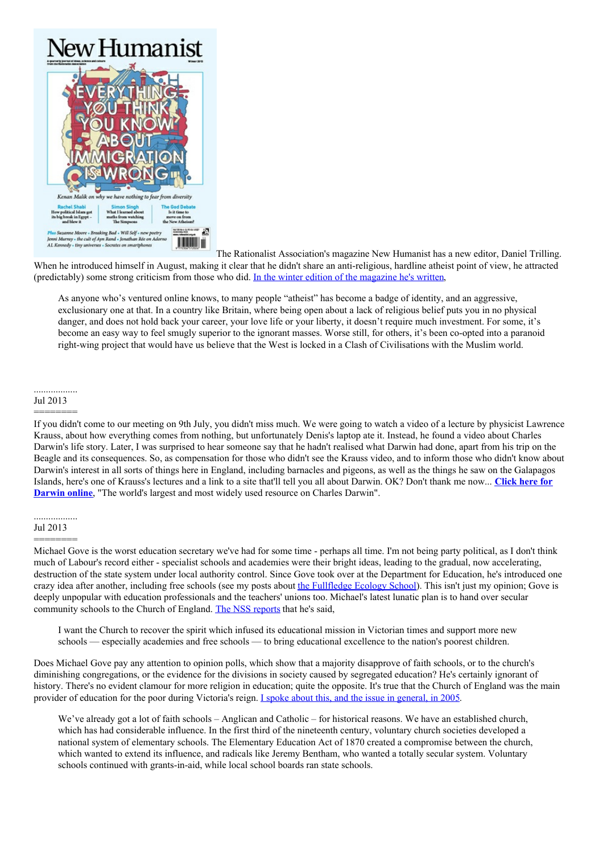

The Rationalist Association's magazine New Humanist has a new editor, Daniel Trilling. When he introduced himself in August, making it clear that he didn't share an anti-religious, hardline atheist point of view, he attracted (predictably) some strong criticism from those who did. In the winter edition of the [magazine](http://rationalist.org.uk/articles/4437/question-everything-our-editors-note-from-the-winter-2013-issue-of-new-humanist) he's written,

As anyone who's ventured online knows, to many people "atheist" has become a badge of identity, and an aggressive, exclusionary one at that. In a country like Britain, where being open about a lack of religious belief puts you in no physical danger, and does not hold back your career, your love life or your liberty, it doesn't require much investment. For some, it's become an easy way to feel smugly superior to the ignorant masses. Worse still, for others, it's been co-opted into a paranoid right-wing project that would have us believe that the West is locked in a Clash of Civilisations with the Muslim world.

#### .................. Jul 2013 ========

If you didn't come to our meeting on 9th July, you didn't miss much. We were going to watch a video of a lecture by physicist Lawrence Krauss, about how everything comes from nothing, but unfortunately Denis's laptop ate it. Instead, he found a video about Charles Darwin's life story. Later, I was surprised to hear someone say that he hadn't realised what Darwin had done, apart from his trip on the Beagle and its consequences. So, as compensation for those who didn't see the Krauss video, and to inform those who didn't know about Darwin's interest in all sorts of things here in England, including barnacles and pigeons, as well as the things he saw on the Galapagos Islands, here's one of Krauss's lectures and a link to a site that'll tell you all about Darwin. OK? Don't thank me now... **Click here for Darwin online**, "The world's largest and most widely used resource on Charles [Darwin".](http://darwin-online.org.uk/)

#### .................. Jul 2013

# ========

Michael Gove is the worst education secretary we've had for some time - perhaps all time. I'm not being party political, as I don't think much of Labour's record either - specialist schools and academies were their bright ideas, leading to the gradual, now accelerating, destruction of the state system under local authority control. Since Gove took over at the Department for Education, he's introduced one crazy idea after another, including free schools (see my posts about the [Fullfledge](http://www.suffolkhands.org.uk/search/node/Fullfledge%20Ecology%20School) Ecology School). This isn't just my opinion; Gove is deeply unpopular with education professionals and the teachers' unions too. Michael's latest lunatic plan is to hand over secular community schools to the Church of England. The NSS [reports](http://www.secularism.org.uk/news/2013/07/church-to-take-over-thousands-of-community-schools) that he's said,

I want the Church to recover the spirit which infused its educational mission in Victorian times and support more new schools — especially academies and free schools — to bring educational excellence to the nation's poorest children.

Does Michael Gove pay any attention to opinion polls, which show that a majority disapprove of faith schools, or to the church's diminishing congregations, or the evidence for the divisions in society caused by segregated education? He's certainly ignorant of history. There's no evident clamour for more religion in education; quite the opposite. It's true that the Church of England was the main provider of education for the poor during Victoria's reign. I spoke about this, and the issue in [general,](http://www.suffolkhands.org.uk/node/65) in 2005.

We've already got a lot of faith schools – Anglican and Catholic – for historical reasons. We have an established church, which has had considerable influence. In the first third of the nineteenth century, voluntary church societies developed a national system of elementary schools. The Elementary Education Act of 1870 created a compromise between the church, which wanted to extend its influence, and radicals like Jeremy Bentham, who wanted a totally secular system. Voluntary schools continued with grants-in-aid, while local school boards ran state schools.